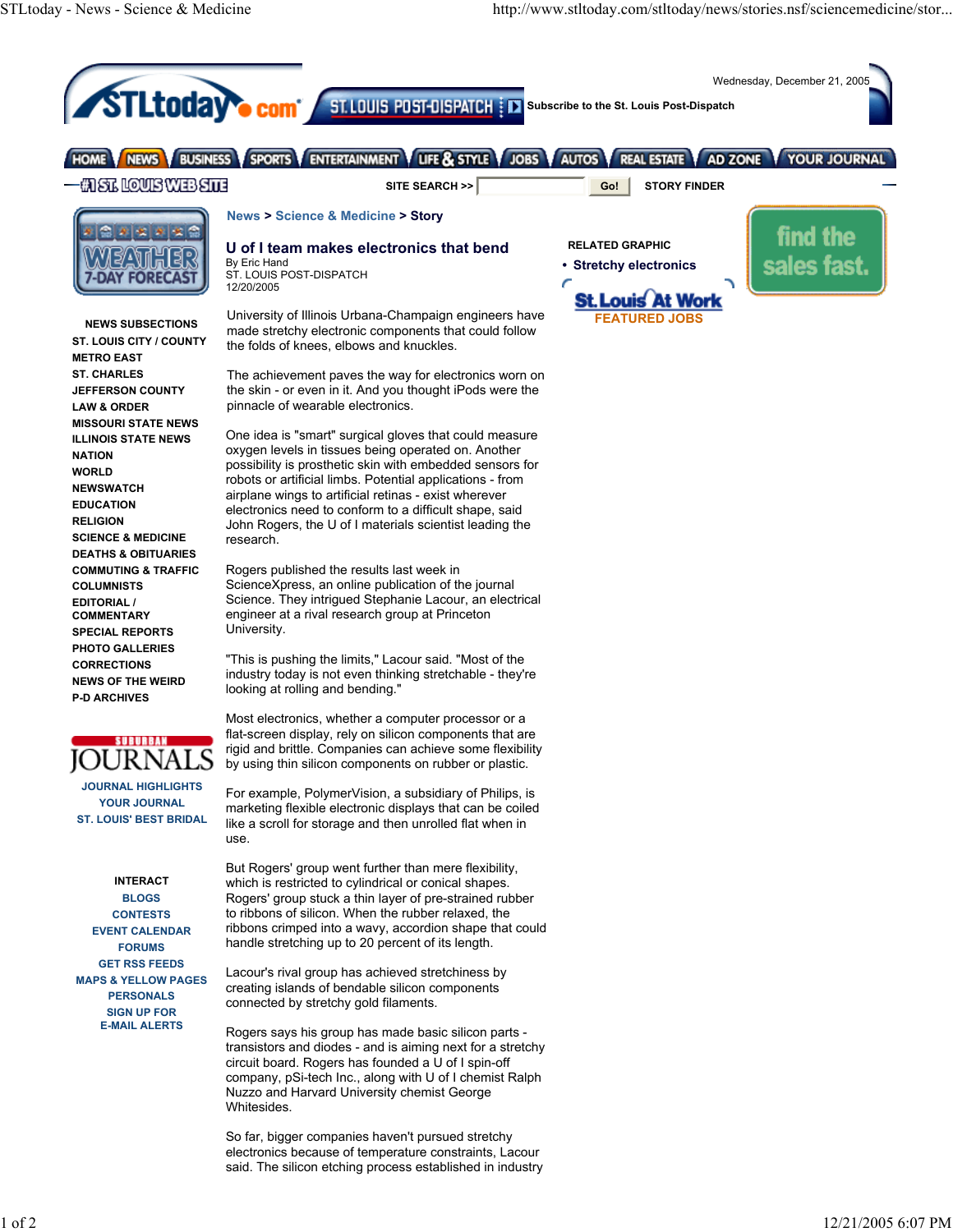